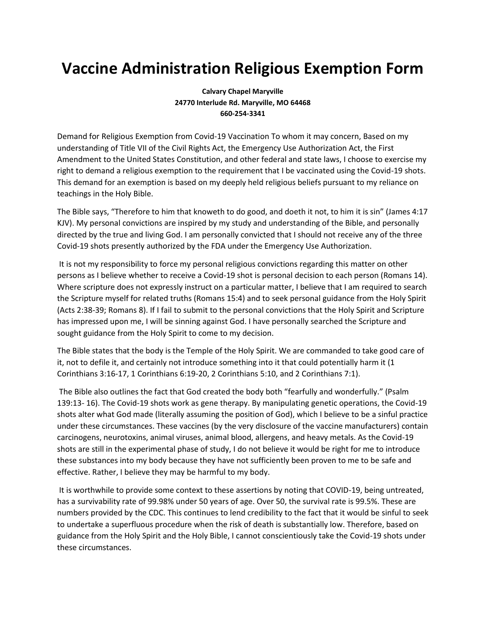## **Vaccine Administration Religious Exemption Form**

**Calvary Chapel Maryville 24770 Interlude Rd. Maryville, MO 64468 660-254-3341**

Demand for Religious Exemption from Covid-19 Vaccination To whom it may concern, Based on my understanding of Title VII of the Civil Rights Act, the Emergency Use Authorization Act, the First Amendment to the United States Constitution, and other federal and state laws, I choose to exercise my right to demand a religious exemption to the requirement that I be vaccinated using the Covid-19 shots. This demand for an exemption is based on my deeply held religious beliefs pursuant to my reliance on teachings in the Holy Bible.

The Bible says, "Therefore to him that knoweth to do good, and doeth it not, to him it is sin" (James 4:17 KJV). My personal convictions are inspired by my study and understanding of the Bible, and personally directed by the true and living God. I am personally convicted that I should not receive any of the three Covid-19 shots presently authorized by the FDA under the Emergency Use Authorization.

It is not my responsibility to force my personal religious convictions regarding this matter on other persons as I believe whether to receive a Covid-19 shot is personal decision to each person (Romans 14). Where scripture does not expressly instruct on a particular matter, I believe that I am required to search the Scripture myself for related truths (Romans 15:4) and to seek personal guidance from the Holy Spirit (Acts 2:38-39; Romans 8). If I fail to submit to the personal convictions that the Holy Spirit and Scripture has impressed upon me, I will be sinning against God. I have personally searched the Scripture and sought guidance from the Holy Spirit to come to my decision.

The Bible states that the body is the Temple of the Holy Spirit. We are commanded to take good care of it, not to defile it, and certainly not introduce something into it that could potentially harm it (1 Corinthians 3:16-17, 1 Corinthians 6:19-20, 2 Corinthians 5:10, and 2 Corinthians 7:1).

The Bible also outlines the fact that God created the body both "fearfully and wonderfully." (Psalm 139:13- 16). The Covid-19 shots work as gene therapy. By manipulating genetic operations, the Covid-19 shots alter what God made (literally assuming the position of God), which I believe to be a sinful practice under these circumstances. These vaccines (by the very disclosure of the vaccine manufacturers) contain carcinogens, neurotoxins, animal viruses, animal blood, allergens, and heavy metals. As the Covid-19 shots are still in the experimental phase of study, I do not believe it would be right for me to introduce these substances into my body because they have not sufficiently been proven to me to be safe and effective. Rather, I believe they may be harmful to my body.

It is worthwhile to provide some context to these assertions by noting that COVID-19, being untreated, has a survivability rate of 99.98% under 50 years of age. Over 50, the survival rate is 99.5%. These are numbers provided by the CDC. This continues to lend credibility to the fact that it would be sinful to seek to undertake a superfluous procedure when the risk of death is substantially low. Therefore, based on guidance from the Holy Spirit and the Holy Bible, I cannot conscientiously take the Covid-19 shots under these circumstances.